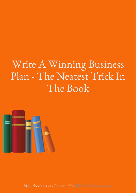# Write A Winning Business Plan - The Neatest Trick In The Book



Mini ebook series - Presented by Web Design Imagineers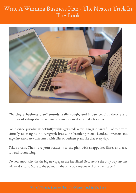## Write A Winning Business Plan - The Neatest Trick In The Book



"Writing a business plan" sounds really tough, and it can be. But there are a number of things the smart entrepreneur can do to make it easier.

For instance, justwhatkindofstuffyouthinkgetsreadlikethis? Imagine pages full of that, with virtually no margins, no paragraph breaks, no breathing room. Lenders, investors and angel investors are confronted with piles of business plans like that every day.

Take abreath. Then lure your reader into the plan with snappy headlines and easy to read formatting.

Do you know why the the big newspapers use headlines? Because it's the only way anyone will read a story. More to the point, it's the only way anyone will buy their paper!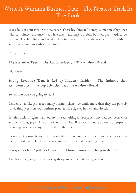## Write A Winning Business Plan - The Neatest Trick In The Book

Take a look at your favourite newspaper. Those headlines tell a story. Sometimes they ooze with conspiracy, and once in a while they stand majestic. Your business plan needs to do no less. The headlines and section headings need to draw the reader in, not with an announcement, but with an invitation.

Compare these:

The Executive Team – The Audio Industry – The Advisory Board

with these:

Strong Executive Team is Led by Industry Insider – The Industry that Reinvents Itself – 7 Top Scientists Lead the Advisory Board

So which set are you going to read?

Lenders of all ilks get far too many business plans – certainly more than they can possibly fund. Simply getting your business plan read is a big step in the right direction.

Try this trick. Imagine that you are indeed writing a newspaper, one that competes with another strong paper in your town. What headline would you put on that paper to encourage readers to buy yours, and not the other?

Honesty, of course, is essential. But within that honesty there are a thousand ways to make the same statement. How many ways are there to say that it is spring time?

#### It is spring · It is April 22 · Lilacs are in bloom · Snow is melting in the hills

And how many ways are there to say that your business idea is a good one?